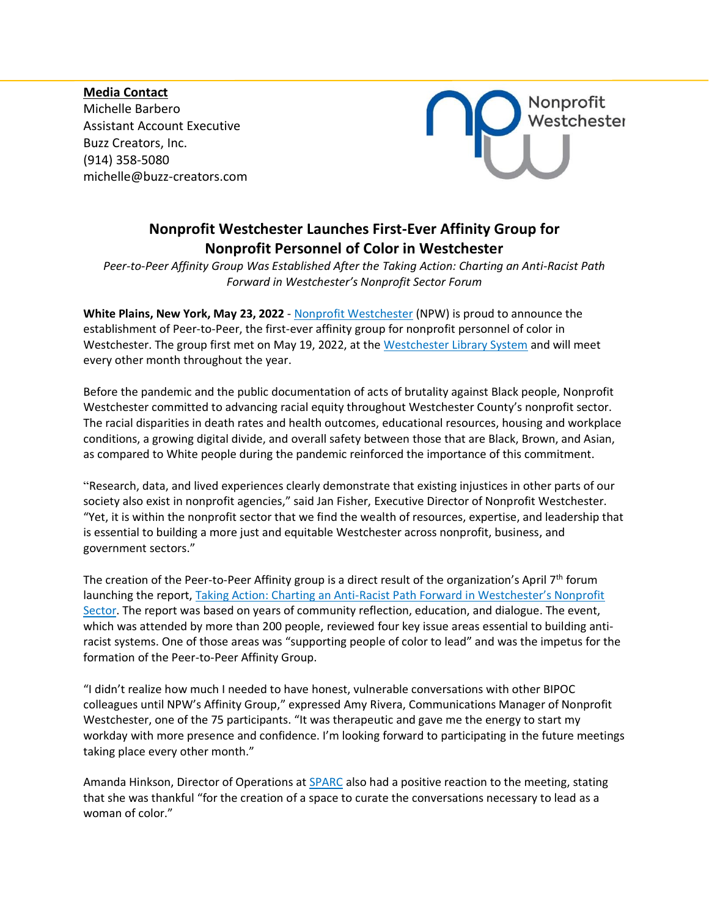**Media Contact** Michelle Barbero Assistant Account Executive Buzz Creators, Inc. (914) 358-5080 [michelle@buzz-creators.com](mailto:michelle@buzz-creators.com)



## **Nonprofit Westchester Launches First-Ever Affinity Group for Nonprofit Personnel of Color in Westchester**

*Peer-to-Peer Affinity Group Was Established After the Taking Action: Charting an Anti-Racist Path Forward in Westchester's Nonprofit Sector Forum* 

**White Plains, New York, May 23, 2022** - [Nonprofit Westchester](https://npwestchester.org/) (NPW) is proud to announce the establishment of Peer-to-Peer, the first-ever affinity group for nonprofit personnel of color in Westchester. The group first met on May 19, 2022, at the [Westchester Library System](https://www.westchesterlibraries.org/) and will meet every other month throughout the year.

Before the pandemic and the public documentation of acts of brutality against Black people, Nonprofit Westchester committed to advancing racial equity throughout Westchester County's nonprofit sector. The racial disparities in death rates and health outcomes, educational resources, housing and workplace conditions, a growing digital divide, and overall safety between those that are Black, Brown, and Asian, as compared to White people during the pandemic reinforced the importance of this commitment.

"Research, data, and lived experiences clearly demonstrate that existing injustices in other parts of our society also exist in nonprofit agencies," said Jan Fisher, Executive Director of Nonprofit Westchester. "Yet, it is within the nonprofit sector that we find the wealth of resources, expertise, and leadership that is essential to building a more just and equitable Westchester across nonprofit, business, and government sectors."

The creation of the Peer-to-Peer Affinity group is a direct result of the organization's April  $7<sup>th</sup>$  forum launching the report, Taking Action: Charting an Anti-[Racist Path Forward in Westchester's Nonprofit](https://www.youtube.com/watch?v=mawFtemH4dM)  [Sector.](https://www.youtube.com/watch?v=mawFtemH4dM) The report was based on years of community reflection, education, and dialogue. The event, which was attended by more than 200 people, reviewed four key issue areas essential to building antiracist systems. One of those areas was "supporting people of color to lead" and was the impetus for the formation of the Peer-to-Peer Affinity Group.

"I didn't realize how much I needed to have honest, vulnerable conversations with other BIPOC colleagues until NPW's Affinity Group," expressed Amy Rivera, Communications Manager of Nonprofit Westchester, one of the 75 participants. "It was therapeutic and gave me the energy to start my workday with more presence and confidence. I'm looking forward to participating in the future meetings taking place every other month."

Amanda Hinkson, Director of Operations at [SPARC](https://www.sparcinc.org/) also had a positive reaction to the meeting, stating that she was thankful "for the creation of a space to curate the conversations necessary to lead as a woman of color."